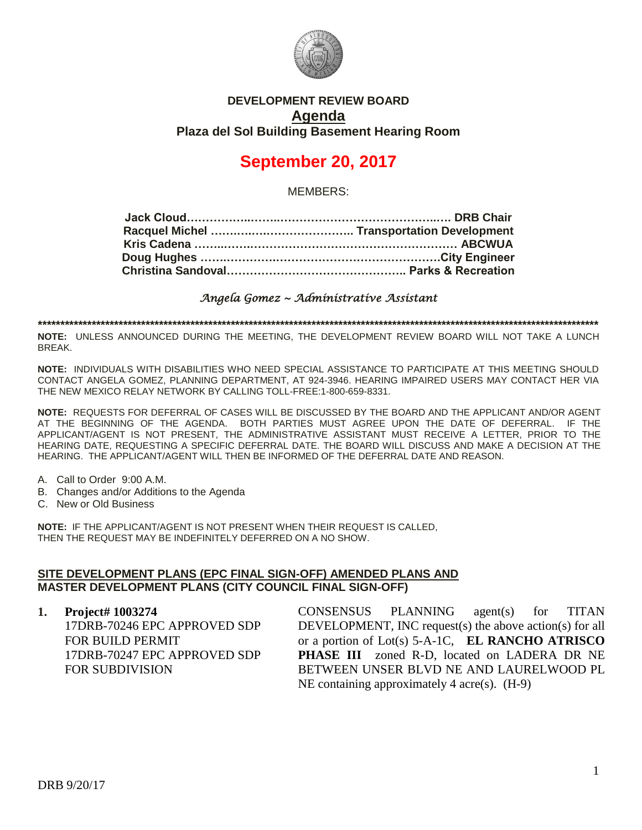

## **DEVELOPMENT REVIEW BOARD Agenda Plaza del Sol Building Basement Hearing Room**

# **September 20, 2017**

MEMBERS:

*Angela Gomez ~ Administrative Assistant* 

**\*\*\*\*\*\*\*\*\*\*\*\*\*\*\*\*\*\*\*\*\*\*\*\*\*\*\*\*\*\*\*\*\*\*\*\*\*\*\*\*\*\*\*\*\*\*\*\*\*\*\*\*\*\*\*\*\*\*\*\*\*\*\*\*\*\*\*\*\*\*\*\*\*\*\*\*\*\*\*\*\*\*\*\*\*\*\*\*\*\*\*\*\*\*\*\*\*\*\*\*\*\*\*\*\*\*\*\*\*\*\*\*\*\*\*\*\*\*\*\*\*\*\*\*\***

**NOTE:** UNLESS ANNOUNCED DURING THE MEETING, THE DEVELOPMENT REVIEW BOARD WILL NOT TAKE A LUNCH BREAK.

**NOTE:** INDIVIDUALS WITH DISABILITIES WHO NEED SPECIAL ASSISTANCE TO PARTICIPATE AT THIS MEETING SHOULD CONTACT ANGELA GOMEZ, PLANNING DEPARTMENT, AT 924-3946. HEARING IMPAIRED USERS MAY CONTACT HER VIA THE NEW MEXICO RELAY NETWORK BY CALLING TOLL-FREE:1-800-659-8331.

**NOTE:** REQUESTS FOR DEFERRAL OF CASES WILL BE DISCUSSED BY THE BOARD AND THE APPLICANT AND/OR AGENT AT THE BEGINNING OF THE AGENDA. BOTH PARTIES MUST AGREE UPON THE DATE OF DEFERRAL. IF THE APPLICANT/AGENT IS NOT PRESENT, THE ADMINISTRATIVE ASSISTANT MUST RECEIVE A LETTER, PRIOR TO THE HEARING DATE, REQUESTING A SPECIFIC DEFERRAL DATE. THE BOARD WILL DISCUSS AND MAKE A DECISION AT THE HEARING. THE APPLICANT/AGENT WILL THEN BE INFORMED OF THE DEFERRAL DATE AND REASON.

- A. Call to Order 9:00 A.M.
- B. Changes and/or Additions to the Agenda
- C. New or Old Business

**NOTE:** IF THE APPLICANT/AGENT IS NOT PRESENT WHEN THEIR REQUEST IS CALLED, THEN THE REQUEST MAY BE INDEFINITELY DEFERRED ON A NO SHOW.

#### **SITE DEVELOPMENT PLANS (EPC FINAL SIGN-OFF) AMENDED PLANS AND MASTER DEVELOPMENT PLANS (CITY COUNCIL FINAL SIGN-OFF)**

**1. Project# 1003274** 17DRB-70246 EPC APPROVED SDP FOR BUILD PERMIT 17DRB-70247 EPC APPROVED SDP FOR SUBDIVISION

CONSENSUS PLANNING agent(s) for TITAN DEVELOPMENT, INC request(s) the above action(s) for all or a portion of Lot(s) 5-A-1C, **EL RANCHO ATRISCO PHASE III** zoned R-D, located on LADERA DR NE BETWEEN UNSER BLVD NE AND LAURELWOOD PL NE containing approximately 4 acre(s). (H-9)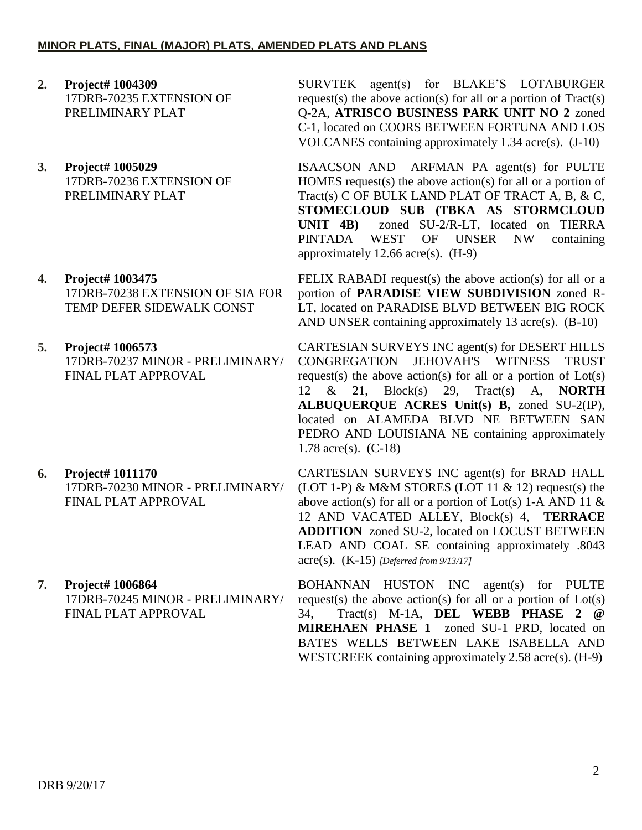### **MINOR PLATS, FINAL (MAJOR) PLATS, AMENDED PLATS AND PLANS**

- **2. Project# 1004309** 17DRB-70235 EXTENSION OF PRELIMINARY PLAT
- **3. Project# 1005029** 17DRB-70236 EXTENSION OF PRELIMINARY PLAT
- **4. Project# 1003475** 17DRB-70238 EXTENSION OF SIA FOR TEMP DEFER SIDEWALK CONST
- **5. Project# 1006573** 17DRB-70237 MINOR - PRELIMINARY/ FINAL PLAT APPROVAL
- **6. Project# 1011170** 17DRB-70230 MINOR - PRELIMINARY/ FINAL PLAT APPROVAL
- **7. Project# 1006864** 17DRB-70245 MINOR - PRELIMINARY/ FINAL PLAT APPROVAL

SURVTEK agent(s) for BLAKE'S LOTABURGER request(s) the above action(s) for all or a portion of  $Tract(s)$ Q-2A, **ATRISCO BUSINESS PARK UNIT NO 2** zoned C-1, located on COORS BETWEEN FORTUNA AND LOS VOLCANES containing approximately 1.34 acre(s). (J-10)

ISAACSON AND ARFMAN PA agent(s) for PULTE HOMES request(s) the above action(s) for all or a portion of Tract(s) C OF BULK LAND PLAT OF TRACT A, B, & C, **STOMECLOUD SUB (TBKA AS STORMCLOUD UNIT 4B)** zoned SU-2/R-LT, located on TIERRA PINTADA WEST OF UNSER NW containing approximately 12.66 acre(s). (H-9)

FELIX RABADI request(s) the above action(s) for all or a portion of **PARADISE VIEW SUBDIVISION** zoned R-LT, located on PARADISE BLVD BETWEEN BIG ROCK AND UNSER containing approximately 13 acre(s). (B-10)

CARTESIAN SURVEYS INC agent(s) for DESERT HILLS CONGREGATION JEHOVAH'S WITNESS TRUST request(s) the above action(s) for all or a portion of  $Lot(s)$ 12 & 21, Block(s) 29, Tract(s) A, **NORTH ALBUQUERQUE ACRES Unit(s) B,** zoned SU-2(IP), located on ALAMEDA BLVD NE BETWEEN SAN PEDRO AND LOUISIANA NE containing approximately 1.78 acre(s). (C-18)

CARTESIAN SURVEYS INC agent(s) for BRAD HALL (LOT 1-P) & M&M STORES (LOT 11 & 12) request(s) the above action(s) for all or a portion of Lot(s) 1-A AND 11  $\&$ 12 AND VACATED ALLEY, Block(s) 4, **TERRACE ADDITION** zoned SU-2, located on LOCUST BETWEEN LEAD AND COAL SE containing approximately .8043 acre(s). (K-15) *[Deferred from 9/13/17]*

BOHANNAN HUSTON INC agent(s) for PULTE request(s) the above action(s) for all or a portion of  $Lot(s)$ 34, Tract(s) M-1A, **DEL WEBB PHASE 2 @ MIREHAEN PHASE 1** zoned SU-1 PRD, located on BATES WELLS BETWEEN LAKE ISABELLA AND WESTCREEK containing approximately 2.58 acre(s). (H-9)